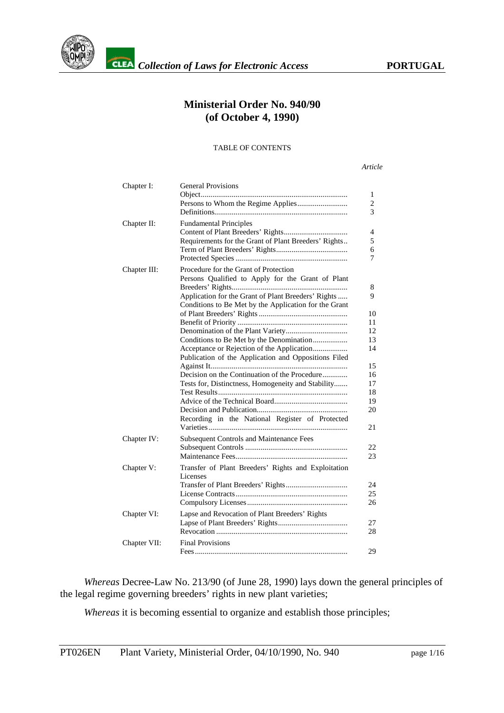

# **Ministerial Order No. 940/90 (of October 4, 1990)**

#### TABLE OF CONTENTS

*Article*

| Chapter I:   | <b>General Provisions</b>                             |
|--------------|-------------------------------------------------------|
|              |                                                       |
|              |                                                       |
|              |                                                       |
| Chapter II:  | <b>Fundamental Principles</b>                         |
|              |                                                       |
|              | Requirements for the Grant of Plant Breeders' Rights  |
|              |                                                       |
|              |                                                       |
| Chapter III: | Procedure for the Grant of Protection                 |
|              | Persons Qualified to Apply for the Grant of Plant     |
|              |                                                       |
|              | Application for the Grant of Plant Breeders' Rights   |
|              | Conditions to Be Met by the Application for the Grant |
|              |                                                       |
|              |                                                       |
|              |                                                       |
|              | Conditions to Be Met by the Denomination              |
|              |                                                       |
|              | Publication of the Application and Oppositions Filed  |
|              |                                                       |
|              | Decision on the Continuation of the Procedure         |
|              | Tests for, Distinctness, Homogeneity and Stability    |
|              |                                                       |
|              |                                                       |
|              |                                                       |
|              | Recording in the National Register of Protected       |
|              |                                                       |
|              | <b>Subsequent Controls and Maintenance Fees</b>       |
| Chapter IV:  |                                                       |
|              |                                                       |
|              |                                                       |
| Chapter V:   | Transfer of Plant Breeders' Rights and Exploitation   |
|              | Licenses                                              |
|              |                                                       |
|              |                                                       |
|              |                                                       |
| Chapter VI:  | Lapse and Revocation of Plant Breeders' Rights        |
|              |                                                       |
|              |                                                       |
| Chapter VII: | <b>Final Provisions</b>                               |
|              |                                                       |
|              |                                                       |

*Whereas* Decree-Law No. 213/90 (of June 28, 1990) lays down the general principles of the legal regime governing breeders' rights in new plant varieties;

*Whereas* it is becoming essential to organize and establish those principles;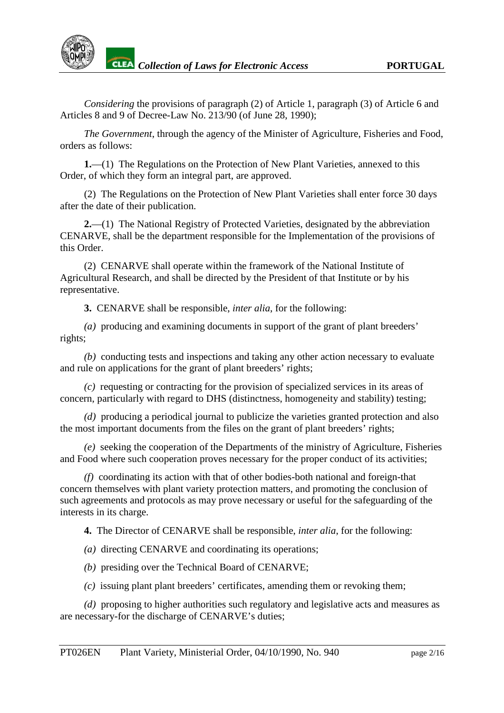*Considering* the provisions of paragraph (2) of Article 1, paragraph (3) of Article 6 and Articles 8 and 9 of Decree-Law No. 213/90 (of June 28, 1990);

*The Government*, through the agency of the Minister of Agriculture, Fisheries and Food, orders as follows:

**1.**—(1) The Regulations on the Protection of New Plant Varieties, annexed to this Order, of which they form an integral part, are approved.

(2) The Regulations on the Protection of New Plant Varieties shall enter force 30 days after the date of their publication.

**2.**—(1) The National Registry of Protected Varieties, designated by the abbreviation CENARVE, shall be the department responsible for the Implementation of the provisions of this Order.

(2) CENARVE shall operate within the framework of the National Institute of Agricultural Research, and shall be directed by the President of that Institute or by his representative.

**3.** CENARVE shall be responsible, *inter alia*, for the following:

*(a)* producing and examining documents in support of the grant of plant breeders' rights;

*(b)* conducting tests and inspections and taking any other action necessary to evaluate and rule on applications for the grant of plant breeders' rights;

*(c)* requesting or contracting for the provision of specialized services in its areas of concern, particularly with regard to DHS (distinctness, homogeneity and stability) testing;

*(d)* producing a periodical journal to publicize the varieties granted protection and also the most important documents from the files on the grant of plant breeders' rights;

*(e)* seeking the cooperation of the Departments of the ministry of Agriculture, Fisheries and Food where such cooperation proves necessary for the proper conduct of its activities;

*(f)* coordinating its action with that of other bodies-both national and foreign-that concern themselves with plant variety protection matters, and promoting the conclusion of such agreements and protocols as may prove necessary or useful for the safeguarding of the interests in its charge.

**4.** The Director of CENARVE shall be responsible, *inter alia*, for the following:

*(a)* directing CENARVE and coordinating its operations;

*(b)* presiding over the Technical Board of CENARVE;

*(c)* issuing plant plant breeders' certificates, amending them or revoking them;

*(d)* proposing to higher authorities such regulatory and legislative acts and measures as are necessary-for the discharge of CENARVE's duties;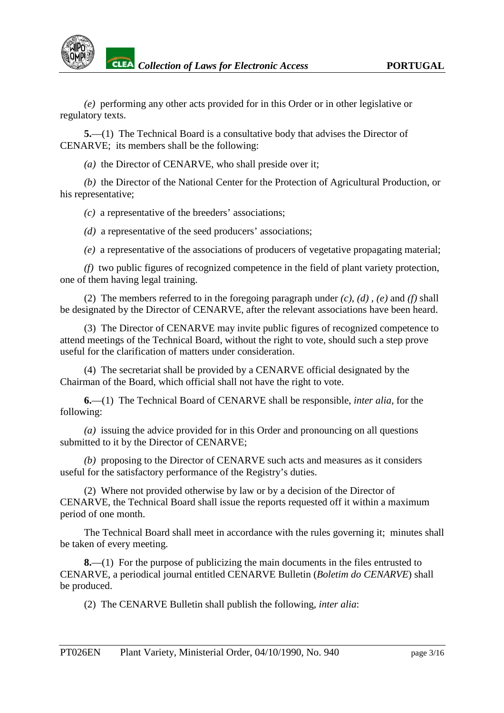*(e)* performing any other acts provided for in this Order or in other legislative or regulatory texts.

**5.**—(1) The Technical Board is a consultative body that advises the Director of CENARVE; its members shall be the following:

*(a)* the Director of CENARVE, who shall preside over it;

*(b)* the Director of the National Center for the Protection of Agricultural Production, or his representative;

*(c)* a representative of the breeders' associations;

*(d)* a representative of the seed producers' associations;

*(e)* a representative of the associations of producers of vegetative propagating material;

*(f)* two public figures of recognized competence in the field of plant variety protection, one of them having legal training.

(2) The members referred to in the foregoing paragraph under *(c)*, *(d)* , *(e)* and *(f)* shall be designated by the Director of CENARVE, after the relevant associations have been heard.

(3) The Director of CENARVE may invite public figures of recognized competence to attend meetings of the Technical Board, without the right to vote, should such a step prove useful for the clarification of matters under consideration.

(4) The secretariat shall be provided by a CENARVE official designated by the Chairman of the Board, which official shall not have the right to vote.

**6.**—(1) The Technical Board of CENARVE shall be responsible, *inter alia*, for the following:

*(a)* issuing the advice provided for in this Order and pronouncing on all questions submitted to it by the Director of CENARVE;

*(b)* proposing to the Director of CENARVE such acts and measures as it considers useful for the satisfactory performance of the Registry's duties.

(2) Where not provided otherwise by law or by a decision of the Director of CENARVE, the Technical Board shall issue the reports requested off it within a maximum period of one month.

The Technical Board shall meet in accordance with the rules governing it; minutes shall be taken of every meeting.

**8.**—(1) For the purpose of publicizing the main documents in the files entrusted to CENARVE, a periodical journal entitled CENARVE Bulletin (*Boletim do CENARVE*) shall be produced.

(2) The CENARVE Bulletin shall publish the following, *inter alia*: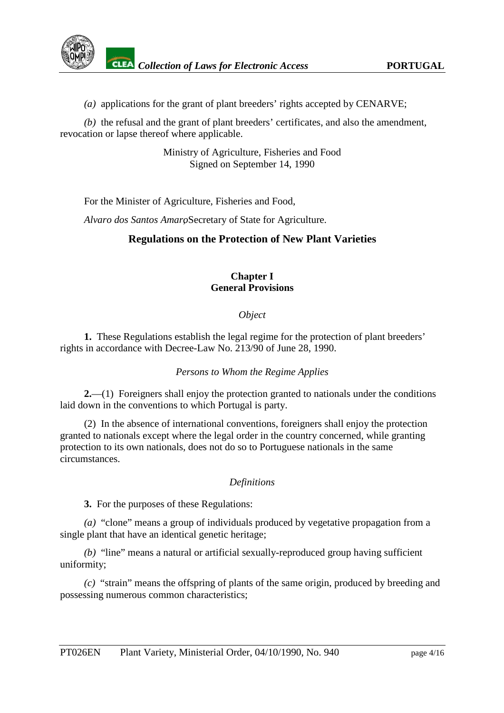

*(a)* applications for the grant of plant breeders' rights accepted by CENARVE;

*(b)* the refusal and the grant of plant breeders' certificates, and also the amendment, revocation or lapse thereof where applicable.

> Ministry of Agriculture, Fisheries and Food Signed on September 14, 1990

For the Minister of Agriculture, Fisheries and Food,

*Alvaro dos Santos Amaro*, Secretary of State for Agriculture.

# **Regulations on the Protection of New Plant Varieties**

# **Chapter I General Provisions**

#### *Object*

**1.** These Regulations establish the legal regime for the protection of plant breeders' rights in accordance with Decree-Law No. 213/90 of June 28, 1990.

#### *Persons to Whom the Regime Applies*

**2.**—(1) Foreigners shall enjoy the protection granted to nationals under the conditions laid down in the conventions to which Portugal is party.

(2) In the absence of international conventions, foreigners shall enjoy the protection granted to nationals except where the legal order in the country concerned, while granting protection to its own nationals, does not do so to Portuguese nationals in the same circumstances.

#### *Definitions*

**3.** For the purposes of these Regulations:

*(a)* "clone" means a group of individuals produced by vegetative propagation from a single plant that have an identical genetic heritage;

*(b)* "line" means a natural or artificial sexually-reproduced group having sufficient uniformity;

*(c)* "strain" means the offspring of plants of the same origin, produced by breeding and possessing numerous common characteristics;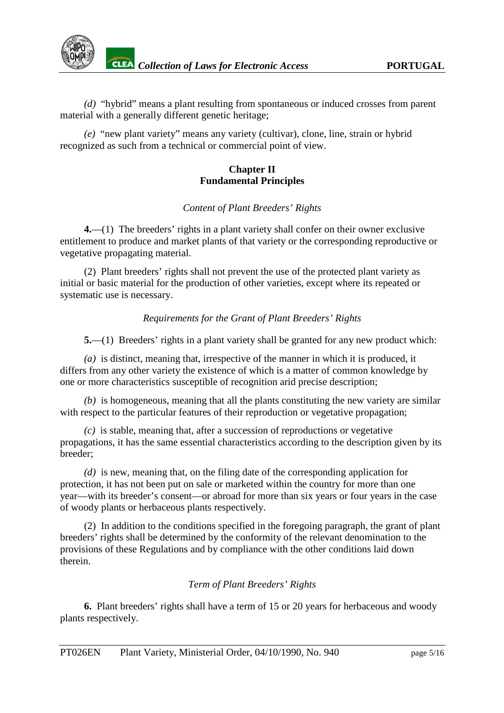*(d)* "hybrid" means a plant resulting from spontaneous or induced crosses from parent material with a generally different genetic heritage;

*(e)* "new plant variety" means any variety (cultivar), clone, line, strain or hybrid recognized as such from a technical or commercial point of view.

#### **Chapter II Fundamental Principles**

# *Content of Plant Breeders' Rights*

**4.**—(1) The breeders' rights in a plant variety shall confer on their owner exclusive entitlement to produce and market plants of that variety or the corresponding reproductive or vegetative propagating material.

(2) Plant breeders' rights shall not prevent the use of the protected plant variety as initial or basic material for the production of other varieties, except where its repeated or systematic use is necessary.

# *Requirements for the Grant of Plant Breeders' Rights*

**5.**—(1) Breeders' rights in a plant variety shall be granted for any new product which:

*(a)* is distinct, meaning that, irrespective of the manner in which it is produced, it differs from any other variety the existence of which is a matter of common knowledge by one or more characteristics susceptible of recognition arid precise description;

*(b)* is homogeneous, meaning that all the plants constituting the new variety are similar with respect to the particular features of their reproduction or vegetative propagation;

*(c)* is stable, meaning that, after a succession of reproductions or vegetative propagations, it has the same essential characteristics according to the description given by its breeder;

*(d)* is new, meaning that, on the filing date of the corresponding application for protection, it has not been put on sale or marketed within the country for more than one year—with its breeder's consent—or abroad for more than six years or four years in the case of woody plants or herbaceous plants respectively.

(2) In addition to the conditions specified in the foregoing paragraph, the grant of plant breeders' rights shall be determined by the conformity of the relevant denomination to the provisions of these Regulations and by compliance with the other conditions laid down therein.

#### *Term of Plant Breeders' Rights*

**6.** Plant breeders' rights shall have a term of 15 or 20 years for herbaceous and woody plants respectively.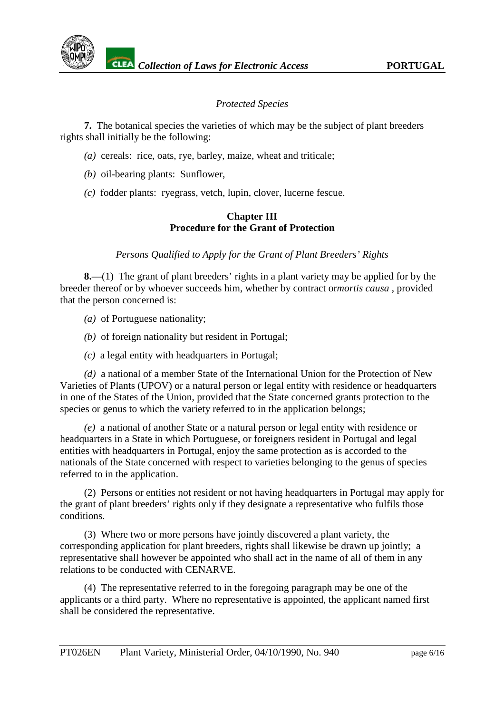# *Protected Species*

**7.** The botanical species the varieties of which may be the subject of plant breeders rights shall initially be the following:

- *(a)* cereals: rice, oats, rye, barley, maize, wheat and triticale;
- *(b)* oil-bearing plants: Sunflower,
- *(c)* fodder plants: ryegrass, vetch, lupin, clover, lucerne fescue.

#### **Chapter III Procedure for the Grant of Protection**

*Persons Qualified to Apply for the Grant of Plant Breeders' Rights*

**8.**—(1) The grant of plant breeders' rights in a plant variety may be applied for by the breeder thereof or by whoever succeeds him, whether by contract or *mortis causa*, provided that the person concerned is:

*(a)* of Portuguese nationality;

- *(b)* of foreign nationality but resident in Portugal;
- *(c)* a legal entity with headquarters in Portugal;

*(d)* a national of a member State of the International Union for the Protection of New Varieties of Plants (UPOV) or a natural person or legal entity with residence or headquarters in one of the States of the Union, provided that the State concerned grants protection to the species or genus to which the variety referred to in the application belongs;

*(e)* a national of another State or a natural person or legal entity with residence or headquarters in a State in which Portuguese, or foreigners resident in Portugal and legal entities with headquarters in Portugal, enjoy the same protection as is accorded to the nationals of the State concerned with respect to varieties belonging to the genus of species referred to in the application.

(2) Persons or entities not resident or not having headquarters in Portugal may apply for the grant of plant breeders' rights only if they designate a representative who fulfils those conditions.

(3) Where two or more persons have jointly discovered a plant variety, the corresponding application for plant breeders, rights shall likewise be drawn up jointly; a representative shall however be appointed who shall act in the name of all of them in any relations to be conducted with CENARVE.

(4) The representative referred to in the foregoing paragraph may be one of the applicants or a third party. Where no representative is appointed, the applicant named first shall be considered the representative.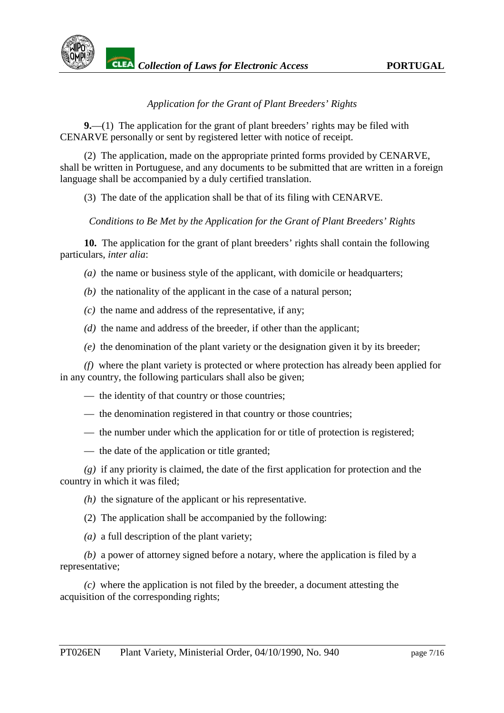

# *Application for the Grant of Plant Breeders' Rights*

**9.**—(1) The application for the grant of plant breeders' rights may be filed with CENARVE personally or sent by registered letter with notice of receipt.

(2) The application, made on the appropriate printed forms provided by CENARVE, shall be written in Portuguese, and any documents to be submitted that are written in a foreign language shall be accompanied by a duly certified translation.

(3) The date of the application shall be that of its filing with CENARVE.

#### *Conditions to Be Met by the Application for the Grant of Plant Breeders' Rights*

**10.** The application for the grant of plant breeders' rights shall contain the following particulars, *inter alia*:

*(a)* the name or business style of the applicant, with domicile or headquarters;

- *(b)* the nationality of the applicant in the case of a natural person;
- *(c)* the name and address of the representative, if any;
- *(d)* the name and address of the breeder, if other than the applicant;
- *(e)* the denomination of the plant variety or the designation given it by its breeder;

*(f)* where the plant variety is protected or where protection has already been applied for in any country, the following particulars shall also be given;

- the identity of that country or those countries;
- the denomination registered in that country or those countries;
- the number under which the application for or title of protection is registered;
- the date of the application or title granted:

*(g)* if any priority is claimed, the date of the first application for protection and the country in which it was filed;

- *(h)* the signature of the applicant or his representative.
- (2) The application shall be accompanied by the following:
- *(a)* a full description of the plant variety;

*(b)* a power of attorney signed before a notary, where the application is filed by a representative;

*(c)* where the application is not filed by the breeder, a document attesting the acquisition of the corresponding rights;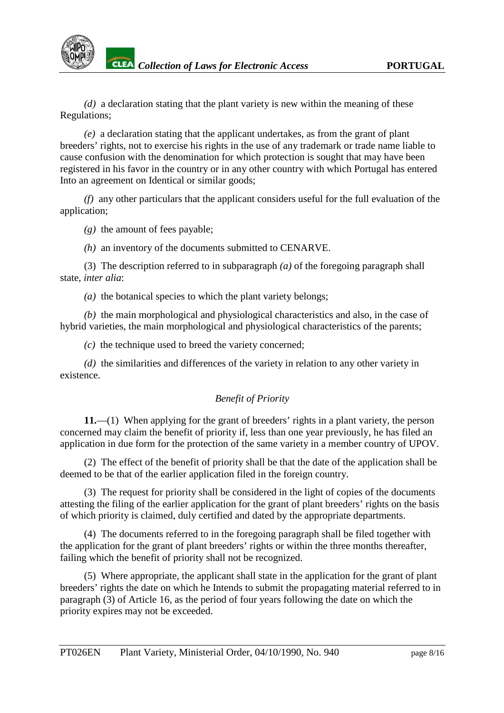*(d)* a declaration stating that the plant variety is new within the meaning of these Regulations;

*(e)* a declaration stating that the applicant undertakes, as from the grant of plant breeders' rights, not to exercise his rights in the use of any trademark or trade name liable to cause confusion with the denomination for which protection is sought that may have been registered in his favor in the country or in any other country with which Portugal has entered Into an agreement on Identical or similar goods;

*(f)* any other particulars that the applicant considers useful for the full evaluation of the application;

*(g)* the amount of fees payable;

*(h)* an inventory of the documents submitted to CENARVE.

(3) The description referred to in subparagraph *(a)* of the foregoing paragraph shall state, *inter alia*:

*(a)* the botanical species to which the plant variety belongs;

*(b)* the main morphological and physiological characteristics and also, in the case of hybrid varieties, the main morphological and physiological characteristics of the parents;

*(c)* the technique used to breed the variety concerned;

*(d)* the similarities and differences of the variety in relation to any other variety in existence.

# *Benefit of Priority*

**11.**—(1) When applying for the grant of breeders' rights in a plant variety, the person concerned may claim the benefit of priority if, less than one year previously, he has filed an application in due form for the protection of the same variety in a member country of UPOV.

(2) The effect of the benefit of priority shall be that the date of the application shall be deemed to be that of the earlier application filed in the foreign country.

(3) The request for priority shall be considered in the light of copies of the documents attesting the filing of the earlier application for the grant of plant breeders' rights on the basis of which priority is claimed, duly certified and dated by the appropriate departments.

(4) The documents referred to in the foregoing paragraph shall be filed together with the application for the grant of plant breeders' rights or within the three months thereafter, failing which the benefit of priority shall not be recognized.

(5) Where appropriate, the applicant shall state in the application for the grant of plant breeders' rights the date on which he Intends to submit the propagating material referred to in paragraph (3) of Article 16, as the period of four years following the date on which the priority expires may not be exceeded.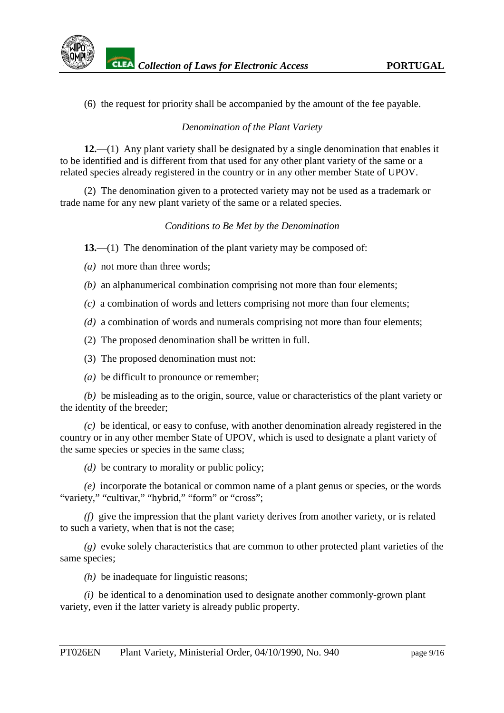(6) the request for priority shall be accompanied by the amount of the fee payable.

# *Denomination of the Plant Variety*

**12.**—(1) Any plant variety shall be designated by a single denomination that enables it to be identified and is different from that used for any other plant variety of the same or a related species already registered in the country or in any other member State of UPOV.

(2) The denomination given to a protected variety may not be used as a trademark or trade name for any new plant variety of the same or a related species.

# *Conditions to Be Met by the Denomination*

**13.**—(1) The denomination of the plant variety may be composed of:

*(a)* not more than three words;

- *(b)* an alphanumerical combination comprising not more than four elements;
- *(c)* a combination of words and letters comprising not more than four elements;
- *(d)* a combination of words and numerals comprising not more than four elements;
- (2) The proposed denomination shall be written in full.

(3) The proposed denomination must not:

*(a)* be difficult to pronounce or remember;

*(b)* be misleading as to the origin, source, value or characteristics of the plant variety or the identity of the breeder;

*(c)* be identical, or easy to confuse, with another denomination already registered in the country or in any other member State of UPOV, which is used to designate a plant variety of the same species or species in the same class;

*(d)* be contrary to morality or public policy;

*(e)* incorporate the botanical or common name of a plant genus or species, or the words "variety," "cultivar," "hybrid," "form" or "cross":

*(f)* give the impression that the plant variety derives from another variety, or is related to such a variety, when that is not the case;

*(g)* evoke solely characteristics that are common to other protected plant varieties of the same species:

*(h)* be inadequate for linguistic reasons;

*(i)* be identical to a denomination used to designate another commonly-grown plant variety, even if the latter variety is already public property.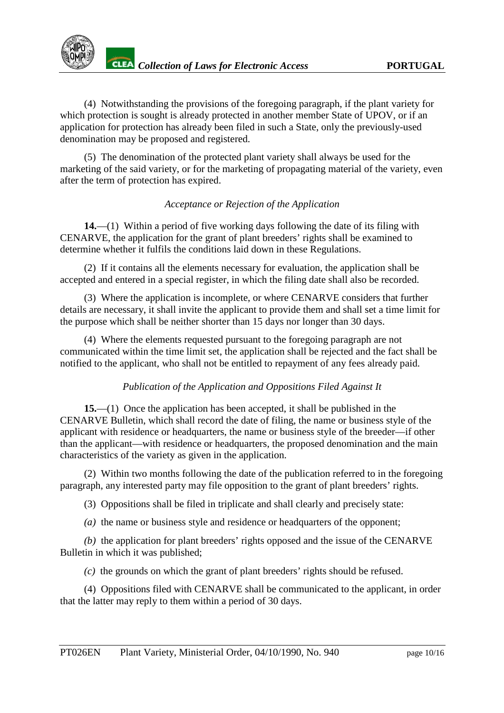(4) Notwithstanding the provisions of the foregoing paragraph, if the plant variety for which protection is sought is already protected in another member State of UPOV, or if an application for protection has already been filed in such a State, only the previously-used denomination may be proposed and registered.

(5) The denomination of the protected plant variety shall always be used for the marketing of the said variety, or for the marketing of propagating material of the variety, even after the term of protection has expired.

# *Acceptance or Rejection of the Application*

**14.**—(1) Within a period of five working days following the date of its filing with CENARVE, the application for the grant of plant breeders' rights shall be examined to determine whether it fulfils the conditions laid down in these Regulations.

(2) If it contains all the elements necessary for evaluation, the application shall be accepted and entered in a special register, in which the filing date shall also be recorded.

(3) Where the application is incomplete, or where CENARVE considers that further details are necessary, it shall invite the applicant to provide them and shall set a time limit for the purpose which shall be neither shorter than 15 days nor longer than 30 days.

(4) Where the elements requested pursuant to the foregoing paragraph are not communicated within the time limit set, the application shall be rejected and the fact shall be notified to the applicant, who shall not be entitled to repayment of any fees already paid.

# *Publication of the Application and Oppositions Filed Against It*

**15.**—(1) Once the application has been accepted, it shall be published in the CENARVE Bulletin, which shall record the date of filing, the name or business style of the applicant with residence or headquarters, the name or business style of the breeder—if other than the applicant—with residence or headquarters, the proposed denomination and the main characteristics of the variety as given in the application.

(2) Within two months following the date of the publication referred to in the foregoing paragraph, any interested party may file opposition to the grant of plant breeders' rights.

(3) Oppositions shall be filed in triplicate and shall clearly and precisely state:

*(a)* the name or business style and residence or headquarters of the opponent;

*(b)* the application for plant breeders' rights opposed and the issue of the CENARVE Bulletin in which it was published;

*(c)* the grounds on which the grant of plant breeders' rights should be refused.

(4) Oppositions filed with CENARVE shall be communicated to the applicant, in order that the latter may reply to them within a period of 30 days.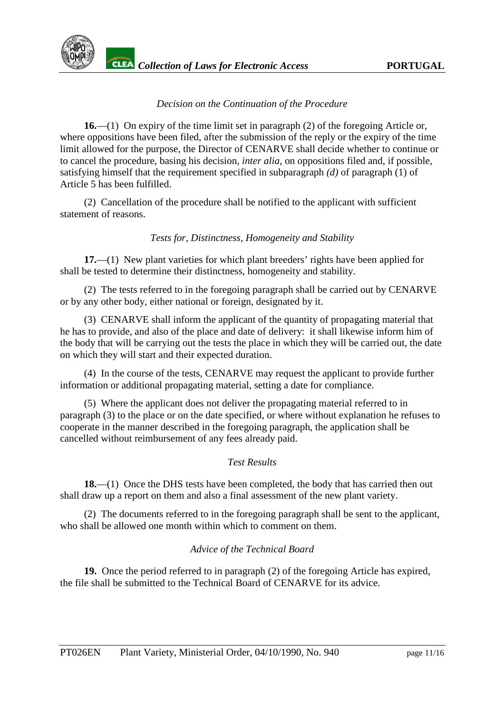

# *Decision on the Continuation of the Procedure*

**16.**—(1) On expiry of the time limit set in paragraph (2) of the foregoing Article or, where oppositions have been filed, after the submission of the reply or the expiry of the time limit allowed for the purpose, the Director of CENARVE shall decide whether to continue or to cancel the procedure, basing his decision, *inter alia*, on oppositions filed and, if possible, satisfying himself that the requirement specified in subparagraph *(d)* of paragraph (1) of Article 5 has been fulfilled.

(2) Cancellation of the procedure shall be notified to the applicant with sufficient statement of reasons.

# *Tests for, Distinctness, Homogeneity and Stability*

**17.**—(1) New plant varieties for which plant breeders' rights have been applied for shall be tested to determine their distinctness, homogeneity and stability.

(2) The tests referred to in the foregoing paragraph shall be carried out by CENARVE or by any other body, either national or foreign, designated by it.

(3) CENARVE shall inform the applicant of the quantity of propagating material that he has to provide, and also of the place and date of delivery: it shall likewise inform him of the body that will be carrying out the tests the place in which they will be carried out, the date on which they will start and their expected duration.

(4) In the course of the tests, CENARVE may request the applicant to provide further information or additional propagating material, setting a date for compliance.

(5) Where the applicant does not deliver the propagating material referred to in paragraph (3) to the place or on the date specified, or where without explanation he refuses to cooperate in the manner described in the foregoing paragraph, the application shall be cancelled without reimbursement of any fees already paid.

#### *Test Results*

**18.**—(1) Once the DHS tests have been completed, the body that has carried then out shall draw up a report on them and also a final assessment of the new plant variety.

(2) The documents referred to in the foregoing paragraph shall be sent to the applicant, who shall be allowed one month within which to comment on them.

# *Advice of the Technical Board*

**19.** Once the period referred to in paragraph (2) of the foregoing Article has expired, the file shall be submitted to the Technical Board of CENARVE for its advice.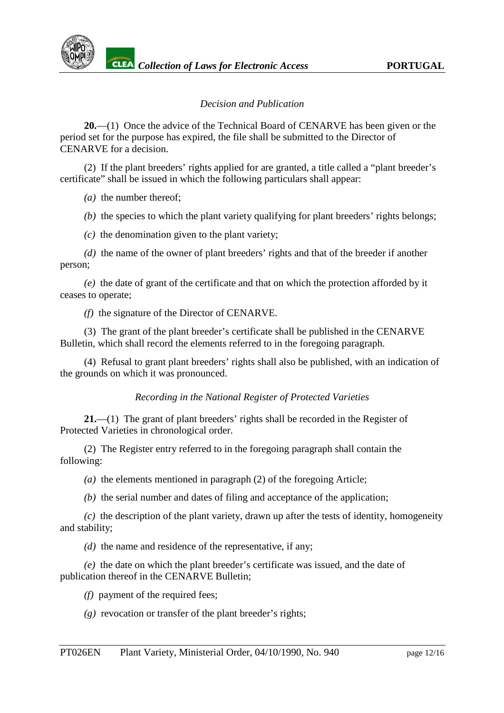#### *Decision and Publication*

**20.**—(1) Once the advice of the Technical Board of CENARVE has been given or the period set for the purpose has expired, the file shall be submitted to the Director of CENARVE for a decision.

(2) If the plant breeders' rights applied for are granted, a title called a "plant breeder's certificate" shall be issued in which the following particulars shall appear:

*(a)* the number thereof;

*(b)* the species to which the plant variety qualifying for plant breeders' rights belongs;

*(c)* the denomination given to the plant variety;

*(d)* the name of the owner of plant breeders' rights and that of the breeder if another person;

*(e)* the date of grant of the certificate and that on which the protection afforded by it ceases to operate;

*(f)* the signature of the Director of CENARVE.

(3) The grant of the plant breeder's certificate shall be published in the CENARVE Bulletin, which shall record the elements referred to in the foregoing paragraph.

(4) Refusal to grant plant breeders' rights shall also be published, with an indication of the grounds on which it was pronounced.

*Recording in the National Register of Protected Varieties*

**21.**—(1) The grant of plant breeders' rights shall be recorded in the Register of Protected Varieties in chronological order.

(2) The Register entry referred to in the foregoing paragraph shall contain the following:

*(a)* the elements mentioned in paragraph (2) of the foregoing Article;

*(b)* the serial number and dates of filing and acceptance of the application;

*(c)* the description of the plant variety, drawn up after the tests of identity, homogeneity and stability;

*(d)* the name and residence of the representative, if any;

*(e)* the date on which the plant breeder's certificate was issued, and the date of publication thereof in the CENARVE Bulletin;

*(f)* payment of the required fees;

*(g)* revocation or transfer of the plant breeder's rights;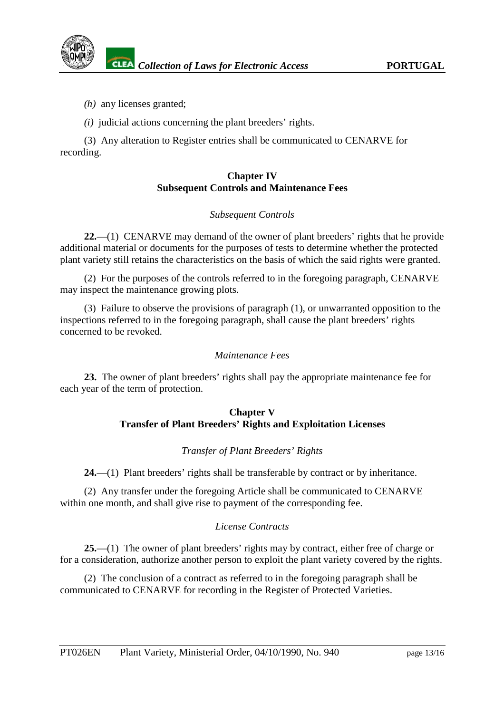*(h)* any licenses granted;

*(i)* judicial actions concerning the plant breeders' rights.

(3) Any alteration to Register entries shall be communicated to CENARVE for recording.

# **Chapter IV Subsequent Controls and Maintenance Fees**

# *Subsequent Controls*

**22.**—(1) CENARVE may demand of the owner of plant breeders' rights that he provide additional material or documents for the purposes of tests to determine whether the protected plant variety still retains the characteristics on the basis of which the said rights were granted.

(2) For the purposes of the controls referred to in the foregoing paragraph, CENARVE may inspect the maintenance growing plots.

(3) Failure to observe the provisions of paragraph (1), or unwarranted opposition to the inspections referred to in the foregoing paragraph, shall cause the plant breeders' rights concerned to be revoked.

# *Maintenance Fees*

**23.** The owner of plant breeders' rights shall pay the appropriate maintenance fee for each year of the term of protection.

# **Chapter V Transfer of Plant Breeders' Rights and Exploitation Licenses**

# *Transfer of Plant Breeders' Rights*

**24.**—(1) Plant breeders' rights shall be transferable by contract or by inheritance.

(2) Any transfer under the foregoing Article shall be communicated to CENARVE within one month, and shall give rise to payment of the corresponding fee.

# *License Contracts*

**25.**—(1) The owner of plant breeders' rights may by contract, either free of charge or for a consideration, authorize another person to exploit the plant variety covered by the rights.

(2) The conclusion of a contract as referred to in the foregoing paragraph shall be communicated to CENARVE for recording in the Register of Protected Varieties.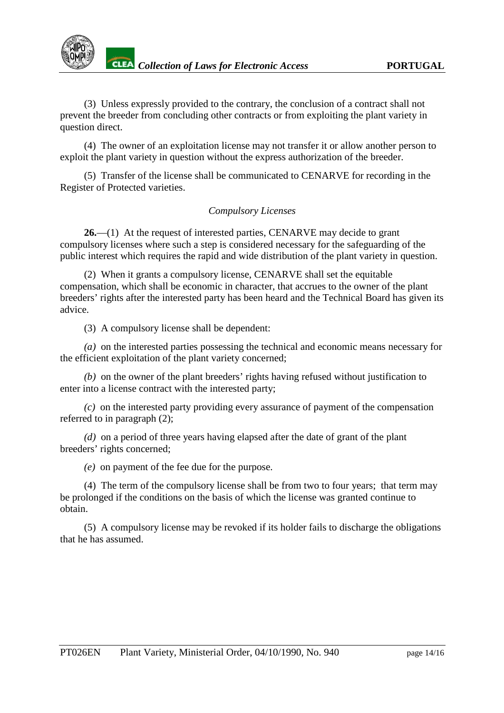

(3) Unless expressly provided to the contrary, the conclusion of a contract shall not prevent the breeder from concluding other contracts or from exploiting the plant variety in question direct.

(4) The owner of an exploitation license may not transfer it or allow another person to exploit the plant variety in question without the express authorization of the breeder.

(5) Transfer of the license shall be communicated to CENARVE for recording in the Register of Protected varieties.

#### *Compulsory Licenses*

**26.**—(1) At the request of interested parties, CENARVE may decide to grant compulsory licenses where such a step is considered necessary for the safeguarding of the public interest which requires the rapid and wide distribution of the plant variety in question.

(2) When it grants a compulsory license, CENARVE shall set the equitable compensation, which shall be economic in character, that accrues to the owner of the plant breeders' rights after the interested party has been heard and the Technical Board has given its advice.

(3) A compulsory license shall be dependent:

*(a)* on the interested parties possessing the technical and economic means necessary for the efficient exploitation of the plant variety concerned;

*(b)* on the owner of the plant breeders' rights having refused without justification to enter into a license contract with the interested party;

*(c)* on the interested party providing every assurance of payment of the compensation referred to in paragraph (2);

*(d)* on a period of three years having elapsed after the date of grant of the plant breeders' rights concerned;

*(e)* on payment of the fee due for the purpose.

(4) The term of the compulsory license shall be from two to four years; that term may be prolonged if the conditions on the basis of which the license was granted continue to obtain.

(5) A compulsory license may be revoked if its holder fails to discharge the obligations that he has assumed.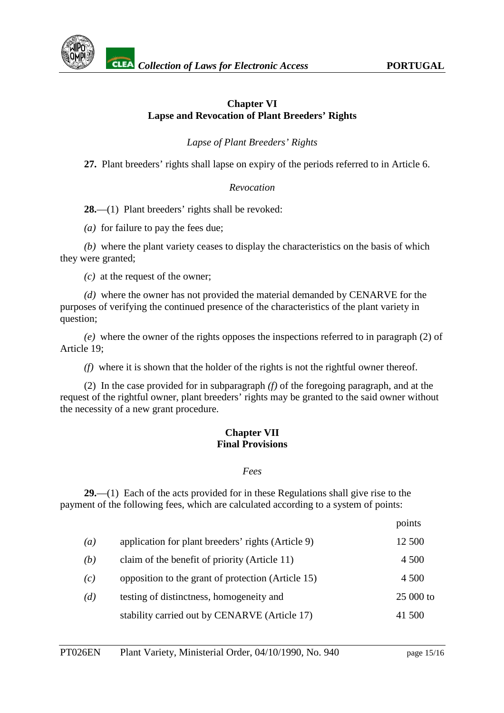

# **Chapter VI Lapse and Revocation of Plant Breeders' Rights**

*Lapse of Plant Breeders' Rights*

**27.** Plant breeders' rights shall lapse on expiry of the periods referred to in Article 6.

# *Revocation*

**28.**—(1) Plant breeders' rights shall be revoked:

*(a)* for failure to pay the fees due;

*(b)* where the plant variety ceases to display the characteristics on the basis of which they were granted;

*(c)* at the request of the owner;

*(d)* where the owner has not provided the material demanded by CENARVE for the purposes of verifying the continued presence of the characteristics of the plant variety in question;

*(e)* where the owner of the rights opposes the inspections referred to in paragraph (2) of Article 19;

*(f)* where it is shown that the holder of the rights is not the rightful owner thereof.

(2) In the case provided for in subparagraph *(f)* of the foregoing paragraph, and at the request of the rightful owner, plant breeders' rights may be granted to the said owner without the necessity of a new grant procedure.

#### **Chapter VII Final Provisions**

#### *Fees*

**29.**—(1) Each of the acts provided for in these Regulations shall give rise to the payment of the following fees, which are calculated according to a system of points:

|                  |                                                    | points     |
|------------------|----------------------------------------------------|------------|
| $\left(a\right)$ | application for plant breeders' rights (Article 9) | 12 500     |
| (b)              | claim of the benefit of priority (Article 11)      | 4 5 0 0    |
| (c)              | opposition to the grant of protection (Article 15) | 4 500      |
| (d)              | testing of distinctness, homogeneity and           | $25000$ to |
|                  | stability carried out by CENARVE (Article 17)      | 41 500     |
|                  |                                                    |            |